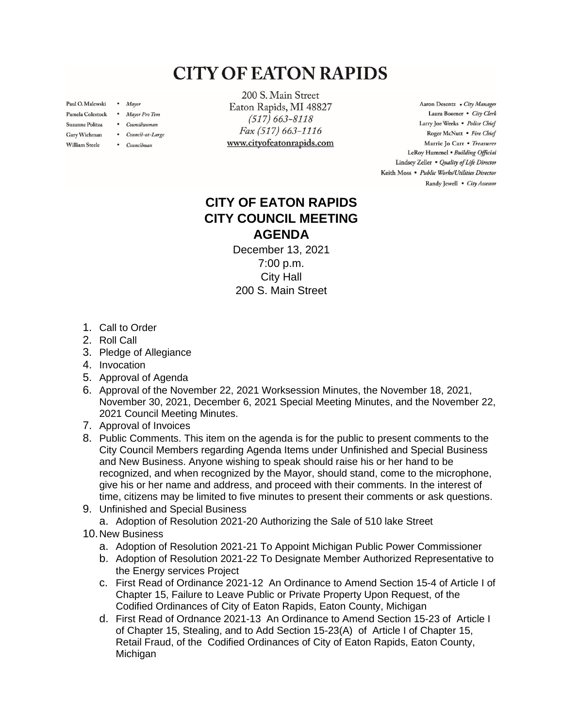## **CITY OF EATON RAPIDS**

Paul O. Malewski . Mayor

Gary Wichman

**William Steele** 

- Pamela Colestock . Mayor Pro Tem
- Suzanne Politza . Councilwoman
	- Council-at-Large
	- Councilman

200 S. Main Street Eaton Rapids, MI 48827  $(517) 663 - 8118$ Fax (517) 663-1116 www.cityofeatonrapids.com

Aaron Desentz . City Manager Laura Boomer . City Clerk Larry Joe Weeks . Police Chief Roger McNutt · Fire Chief Marrie Jo Carr . Treasurer LeRoy Hummel . Building Official Lindsey Zeller . Quality of Life Director Keith Moss · Public Works/Utilities Director Randy Jewell . City Assessor

## **CITY OF EATON RAPIDS CITY COUNCIL MEETING AGENDA**

December 13, 2021 7:00 p.m. City Hall 200 S. Main Street

- 1. Call to Order
- 2. Roll Call
- 3. Pledge of Allegiance
- 4. Invocation
- 5. Approval of Agenda
- 6. Approval of the November 22, 2021 Worksession Minutes, the November 18, 2021, November 30, 2021, December 6, 2021 Special Meeting Minutes, and the November 22, 2021 Council Meeting Minutes.
- 7. Approval of Invoices
- 8. Public Comments. This item on the agenda is for the public to present comments to the City Council Members regarding Agenda Items under Unfinished and Special Business and New Business. Anyone wishing to speak should raise his or her hand to be recognized, and when recognized by the Mayor, should stand, come to the microphone, give his or her name and address, and proceed with their comments. In the interest of time, citizens may be limited to five minutes to present their comments or ask questions.
- 9. Unfinished and Special Business
	- a. Adoption of Resolution 2021-20 Authorizing the Sale of 510 lake Street
- 10.New Business
	- a. Adoption of Resolution 2021-21 To Appoint Michigan Public Power Commissioner
	- b. Adoption of Resolution 2021-22 To Designate Member Authorized Representative to the Energy services Project
	- c. First Read of Ordinance 2021-12 An Ordinance to Amend Section 15-4 of Article I of Chapter 15, Failure to Leave Public or Private Property Upon Request, of the Codified Ordinances of City of Eaton Rapids, Eaton County, Michigan
	- d. First Read of Ordnance 2021-13 An Ordinance to Amend Section 15-23 of Article I of Chapter 15, Stealing, and to Add Section 15-23(A) of Article I of Chapter 15, Retail Fraud, of the Codified Ordinances of City of Eaton Rapids, Eaton County, **Michigan**